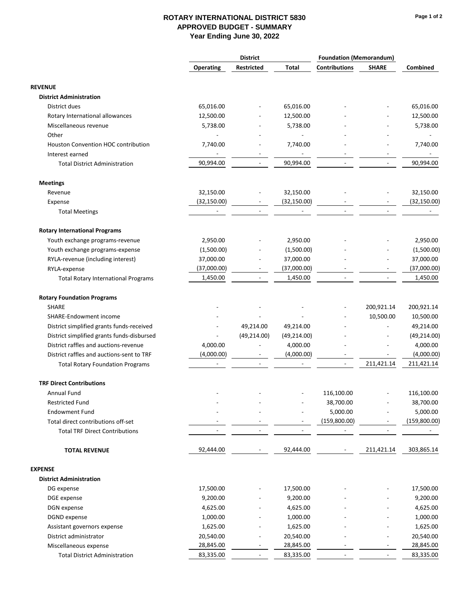|                                            | <b>District</b>  |                          | <b>Foundation (Memorandum)</b> |                          |                          |                          |
|--------------------------------------------|------------------|--------------------------|--------------------------------|--------------------------|--------------------------|--------------------------|
|                                            | <b>Operating</b> | <b>Restricted</b>        | Total                          | <b>Contributions</b>     | <b>SHARE</b>             | <b>Combined</b>          |
| <b>REVENUE</b>                             |                  |                          |                                |                          |                          |                          |
| <b>District Administration</b>             |                  |                          |                                |                          |                          |                          |
| District dues                              | 65,016.00        |                          | 65,016.00                      |                          |                          | 65,016.00                |
| Rotary International allowances            | 12,500.00        |                          | 12,500.00                      |                          |                          | 12,500.00                |
| Miscellaneous revenue                      | 5,738.00         |                          | 5,738.00                       |                          |                          | 5,738.00                 |
| Other                                      |                  |                          |                                |                          |                          | $\overline{\phantom{a}}$ |
| <b>Houston Convention HOC contribution</b> | 7,740.00         |                          | 7,740.00                       |                          |                          | 7,740.00                 |
| Interest earned                            |                  |                          |                                |                          |                          | $\overline{\phantom{a}}$ |
| <b>Total District Administration</b>       | 90,994.00        |                          | 90,994.00                      |                          |                          | 90,994.00                |
| <b>Meetings</b>                            |                  |                          |                                |                          |                          |                          |
| Revenue                                    | 32,150.00        |                          | 32,150.00                      |                          |                          | 32,150.00                |
| Expense                                    | (32, 150.00)     |                          | (32, 150.00)                   |                          |                          | (32, 150.00)             |
| <b>Total Meetings</b>                      |                  | $\overline{\phantom{a}}$ |                                |                          |                          |                          |
| <b>Rotary International Programs</b>       |                  |                          |                                |                          |                          |                          |
| Youth exchange programs-revenue            | 2,950.00         |                          | 2,950.00                       |                          |                          | 2,950.00                 |
| Youth exchange programs-expense            | (1,500.00)       |                          | (1,500.00)                     |                          |                          | (1,500.00)               |
| RYLA-revenue (including interest)          | 37,000.00        |                          | 37,000.00                      |                          |                          | 37,000.00                |
| RYLA-expense                               | (37,000.00)      | ۰                        | (37,000.00)                    |                          |                          | (37,000.00)              |
| <b>Total Rotary International Programs</b> | 1,450.00         | $\overline{\phantom{a}}$ | 1,450.00                       |                          |                          | 1,450.00                 |
| <b>Rotary Foundation Programs</b>          |                  |                          |                                |                          |                          |                          |
| <b>SHARE</b>                               |                  |                          |                                |                          | 200,921.14               | 200,921.14               |
| SHARE-Endowment income                     |                  |                          |                                |                          | 10,500.00                | 10,500.00                |
| District simplified grants funds-received  |                  | 49,214.00                | 49,214.00                      |                          |                          | 49,214.00                |
| District simplified grants funds-disbursed |                  | (49, 214.00)             | (49, 214.00)                   |                          |                          | (49, 214.00)             |
| District raffles and auctions-revenue      | 4,000.00         |                          | 4,000.00                       |                          |                          | 4,000.00                 |
| District raffles and auctions-sent to TRF  | (4,000.00)       |                          | (4,000.00)                     |                          |                          | (4,000.00)               |
| <b>Total Rotary Foundation Programs</b>    |                  |                          |                                |                          | 211,421.14               | 211,421.14               |
| <b>TRF Direct Contributions</b>            |                  |                          |                                |                          |                          |                          |
| Annual Fund                                |                  |                          |                                | 116,100.00               |                          | 116,100.00               |
| <b>Restricted Fund</b>                     |                  |                          |                                | 38,700.00                |                          | 38,700.00                |
| <b>Endowment Fund</b>                      |                  |                          |                                | 5,000.00                 |                          | 5,000.00                 |
| Total direct contributions off-set         |                  |                          |                                | (159,800.00)             |                          | (159, 800.00)            |
| <b>Total TRF Direct Contributions</b>      |                  |                          |                                |                          |                          |                          |
| <b>TOTAL REVENUE</b>                       | 92,444.00        | $\overline{\phantom{a}}$ | 92,444.00                      | $\overline{\phantom{a}}$ | 211,421.14               | 303,865.14               |
| <b>EXPENSE</b>                             |                  |                          |                                |                          |                          |                          |
| <b>District Administration</b>             |                  |                          |                                |                          |                          |                          |
| DG expense                                 | 17,500.00        |                          | 17,500.00                      |                          |                          | 17,500.00                |
| DGE expense                                | 9,200.00         |                          | 9,200.00                       |                          |                          | 9,200.00                 |
| DGN expense                                | 4,625.00         |                          | 4,625.00                       |                          |                          | 4,625.00                 |
| DGND expense                               | 1,000.00         |                          | 1,000.00                       |                          |                          | 1,000.00                 |
| Assistant governors expense                | 1,625.00         |                          | 1,625.00                       |                          |                          | 1,625.00                 |
| District administrator                     | 20,540.00        |                          | 20,540.00                      |                          | $\overline{\phantom{a}}$ | 20,540.00                |
| Miscellaneous expense                      | 28,845.00        | $\overline{\phantom{a}}$ | 28,845.00                      |                          | $\overline{\phantom{a}}$ | 28,845.00                |
| <b>Total District Administration</b>       | 83,335.00        | $\overline{\phantom{a}}$ | 83,335.00                      |                          |                          | 83,335.00                |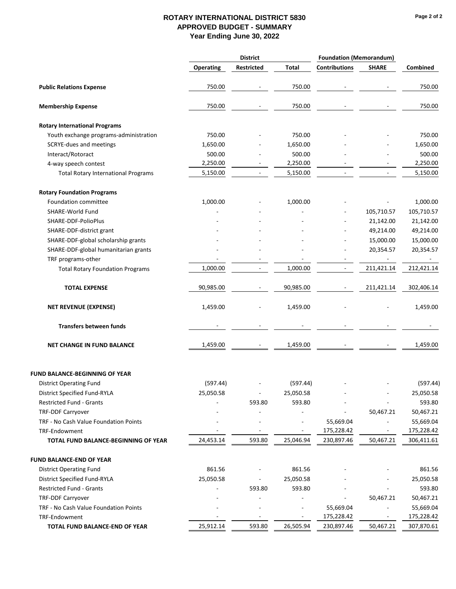### **Page 2 of 2**

| <b>Total</b><br><b>Contributions</b><br><b>SHARE</b><br><b>Operating</b><br><b>Restricted</b><br>750.00<br>750.00<br><b>Public Relations Expense</b><br>750.00<br>750.00<br><b>Membership Expense</b><br><b>Rotary International Programs</b><br>Youth exchange programs-administration<br>750.00<br>750.00<br>SCRYE-dues and meetings<br>1,650.00<br>1,650.00<br>Interact/Rotoract<br>500.00<br>500.00<br>2,250.00<br>2,250.00<br>4-way speech contest<br>$\overline{\phantom{0}}$<br>5,150.00<br>5,150.00<br><b>Total Rotary International Programs</b><br><b>Rotary Foundation Programs</b><br>Foundation committee<br>1,000.00<br>1,000.00<br>SHARE-World Fund<br>105,710.57<br>SHARE-DDF-PolioPlus<br>21,142.00<br>49,214.00<br>SHARE-DDF-district grant<br>15,000.00<br>SHARE-DDF-global scholarship grants<br>SHARE-DDF-global humanitarian grants<br>20,354.57<br>TRF programs-other<br>$\overline{\phantom{a}}$<br>1,000.00<br>1,000.00<br>211,421.14<br>$\overline{\phantom{a}}$<br><b>Total Rotary Foundation Programs</b><br>۰<br>90,985.00<br>90,985.00<br>211,421.14<br><b>TOTAL EXPENSE</b><br>$\overline{\phantom{a}}$<br>$\overline{\phantom{a}}$<br><b>NET REVENUE (EXPENSE)</b><br>1,459.00<br>1,459.00<br><b>Transfers between funds</b><br>1,459.00<br>1,459.00<br><b>NET CHANGE IN FUND BALANCE</b><br><b>FUND BALANCE-BEGINNING OF YEAR</b><br>(597.44)<br>(597.44)<br><b>District Operating Fund</b><br>District Specified Fund-RYLA<br>25,050.58<br>25,050.58<br>25,050.58<br>$\overline{\phantom{a}}$<br>$\overline{a}$<br>Restricted Fund - Grants<br>593.80<br>593.80<br><b>TRF-DDF Carryover</b><br>50,467.21<br>TRF - No Cash Value Foundation Points<br>55,669.04<br>$\blacksquare$<br>$\overline{\phantom{a}}$<br>175,228.42<br>TRF-Endowment<br>$\blacksquare$<br>٠<br>٠<br>24,453.14<br>593.80<br>25,046.94<br>230,897.46<br>50,467.21<br>TOTAL FUND BALANCE-BEGINNING OF YEAR<br><b>FUND BALANCE-END OF YEAR</b> |                                | <b>District</b> |  |        | <b>Foundation (Memorandum)</b> |  |            |
|-----------------------------------------------------------------------------------------------------------------------------------------------------------------------------------------------------------------------------------------------------------------------------------------------------------------------------------------------------------------------------------------------------------------------------------------------------------------------------------------------------------------------------------------------------------------------------------------------------------------------------------------------------------------------------------------------------------------------------------------------------------------------------------------------------------------------------------------------------------------------------------------------------------------------------------------------------------------------------------------------------------------------------------------------------------------------------------------------------------------------------------------------------------------------------------------------------------------------------------------------------------------------------------------------------------------------------------------------------------------------------------------------------------------------------------------------------------------------------------------------------------------------------------------------------------------------------------------------------------------------------------------------------------------------------------------------------------------------------------------------------------------------------------------------------------------------------------------------------------------------------------------------------------------------------------------------------|--------------------------------|-----------------|--|--------|--------------------------------|--|------------|
|                                                                                                                                                                                                                                                                                                                                                                                                                                                                                                                                                                                                                                                                                                                                                                                                                                                                                                                                                                                                                                                                                                                                                                                                                                                                                                                                                                                                                                                                                                                                                                                                                                                                                                                                                                                                                                                                                                                                                     |                                |                 |  |        |                                |  | Combined   |
|                                                                                                                                                                                                                                                                                                                                                                                                                                                                                                                                                                                                                                                                                                                                                                                                                                                                                                                                                                                                                                                                                                                                                                                                                                                                                                                                                                                                                                                                                                                                                                                                                                                                                                                                                                                                                                                                                                                                                     |                                |                 |  |        |                                |  | 750.00     |
|                                                                                                                                                                                                                                                                                                                                                                                                                                                                                                                                                                                                                                                                                                                                                                                                                                                                                                                                                                                                                                                                                                                                                                                                                                                                                                                                                                                                                                                                                                                                                                                                                                                                                                                                                                                                                                                                                                                                                     |                                |                 |  |        |                                |  | 750.00     |
|                                                                                                                                                                                                                                                                                                                                                                                                                                                                                                                                                                                                                                                                                                                                                                                                                                                                                                                                                                                                                                                                                                                                                                                                                                                                                                                                                                                                                                                                                                                                                                                                                                                                                                                                                                                                                                                                                                                                                     |                                |                 |  |        |                                |  |            |
|                                                                                                                                                                                                                                                                                                                                                                                                                                                                                                                                                                                                                                                                                                                                                                                                                                                                                                                                                                                                                                                                                                                                                                                                                                                                                                                                                                                                                                                                                                                                                                                                                                                                                                                                                                                                                                                                                                                                                     |                                |                 |  |        |                                |  | 750.00     |
|                                                                                                                                                                                                                                                                                                                                                                                                                                                                                                                                                                                                                                                                                                                                                                                                                                                                                                                                                                                                                                                                                                                                                                                                                                                                                                                                                                                                                                                                                                                                                                                                                                                                                                                                                                                                                                                                                                                                                     |                                |                 |  |        |                                |  | 1,650.00   |
|                                                                                                                                                                                                                                                                                                                                                                                                                                                                                                                                                                                                                                                                                                                                                                                                                                                                                                                                                                                                                                                                                                                                                                                                                                                                                                                                                                                                                                                                                                                                                                                                                                                                                                                                                                                                                                                                                                                                                     |                                |                 |  |        |                                |  | 500.00     |
|                                                                                                                                                                                                                                                                                                                                                                                                                                                                                                                                                                                                                                                                                                                                                                                                                                                                                                                                                                                                                                                                                                                                                                                                                                                                                                                                                                                                                                                                                                                                                                                                                                                                                                                                                                                                                                                                                                                                                     |                                |                 |  |        |                                |  | 2,250.00   |
|                                                                                                                                                                                                                                                                                                                                                                                                                                                                                                                                                                                                                                                                                                                                                                                                                                                                                                                                                                                                                                                                                                                                                                                                                                                                                                                                                                                                                                                                                                                                                                                                                                                                                                                                                                                                                                                                                                                                                     |                                |                 |  |        |                                |  | 5,150.00   |
|                                                                                                                                                                                                                                                                                                                                                                                                                                                                                                                                                                                                                                                                                                                                                                                                                                                                                                                                                                                                                                                                                                                                                                                                                                                                                                                                                                                                                                                                                                                                                                                                                                                                                                                                                                                                                                                                                                                                                     |                                |                 |  |        |                                |  |            |
|                                                                                                                                                                                                                                                                                                                                                                                                                                                                                                                                                                                                                                                                                                                                                                                                                                                                                                                                                                                                                                                                                                                                                                                                                                                                                                                                                                                                                                                                                                                                                                                                                                                                                                                                                                                                                                                                                                                                                     |                                |                 |  |        |                                |  | 1,000.00   |
|                                                                                                                                                                                                                                                                                                                                                                                                                                                                                                                                                                                                                                                                                                                                                                                                                                                                                                                                                                                                                                                                                                                                                                                                                                                                                                                                                                                                                                                                                                                                                                                                                                                                                                                                                                                                                                                                                                                                                     |                                |                 |  |        |                                |  | 105,710.57 |
|                                                                                                                                                                                                                                                                                                                                                                                                                                                                                                                                                                                                                                                                                                                                                                                                                                                                                                                                                                                                                                                                                                                                                                                                                                                                                                                                                                                                                                                                                                                                                                                                                                                                                                                                                                                                                                                                                                                                                     |                                |                 |  |        |                                |  | 21,142.00  |
|                                                                                                                                                                                                                                                                                                                                                                                                                                                                                                                                                                                                                                                                                                                                                                                                                                                                                                                                                                                                                                                                                                                                                                                                                                                                                                                                                                                                                                                                                                                                                                                                                                                                                                                                                                                                                                                                                                                                                     |                                |                 |  |        |                                |  | 49,214.00  |
|                                                                                                                                                                                                                                                                                                                                                                                                                                                                                                                                                                                                                                                                                                                                                                                                                                                                                                                                                                                                                                                                                                                                                                                                                                                                                                                                                                                                                                                                                                                                                                                                                                                                                                                                                                                                                                                                                                                                                     |                                |                 |  |        |                                |  | 15,000.00  |
|                                                                                                                                                                                                                                                                                                                                                                                                                                                                                                                                                                                                                                                                                                                                                                                                                                                                                                                                                                                                                                                                                                                                                                                                                                                                                                                                                                                                                                                                                                                                                                                                                                                                                                                                                                                                                                                                                                                                                     |                                |                 |  |        |                                |  | 20,354.57  |
|                                                                                                                                                                                                                                                                                                                                                                                                                                                                                                                                                                                                                                                                                                                                                                                                                                                                                                                                                                                                                                                                                                                                                                                                                                                                                                                                                                                                                                                                                                                                                                                                                                                                                                                                                                                                                                                                                                                                                     |                                |                 |  |        |                                |  |            |
|                                                                                                                                                                                                                                                                                                                                                                                                                                                                                                                                                                                                                                                                                                                                                                                                                                                                                                                                                                                                                                                                                                                                                                                                                                                                                                                                                                                                                                                                                                                                                                                                                                                                                                                                                                                                                                                                                                                                                     |                                |                 |  |        |                                |  | 212,421.14 |
|                                                                                                                                                                                                                                                                                                                                                                                                                                                                                                                                                                                                                                                                                                                                                                                                                                                                                                                                                                                                                                                                                                                                                                                                                                                                                                                                                                                                                                                                                                                                                                                                                                                                                                                                                                                                                                                                                                                                                     |                                |                 |  |        |                                |  | 302,406.14 |
|                                                                                                                                                                                                                                                                                                                                                                                                                                                                                                                                                                                                                                                                                                                                                                                                                                                                                                                                                                                                                                                                                                                                                                                                                                                                                                                                                                                                                                                                                                                                                                                                                                                                                                                                                                                                                                                                                                                                                     |                                |                 |  |        |                                |  | 1,459.00   |
|                                                                                                                                                                                                                                                                                                                                                                                                                                                                                                                                                                                                                                                                                                                                                                                                                                                                                                                                                                                                                                                                                                                                                                                                                                                                                                                                                                                                                                                                                                                                                                                                                                                                                                                                                                                                                                                                                                                                                     |                                |                 |  |        |                                |  |            |
|                                                                                                                                                                                                                                                                                                                                                                                                                                                                                                                                                                                                                                                                                                                                                                                                                                                                                                                                                                                                                                                                                                                                                                                                                                                                                                                                                                                                                                                                                                                                                                                                                                                                                                                                                                                                                                                                                                                                                     |                                |                 |  |        |                                |  | 1,459.00   |
|                                                                                                                                                                                                                                                                                                                                                                                                                                                                                                                                                                                                                                                                                                                                                                                                                                                                                                                                                                                                                                                                                                                                                                                                                                                                                                                                                                                                                                                                                                                                                                                                                                                                                                                                                                                                                                                                                                                                                     |                                |                 |  |        |                                |  |            |
|                                                                                                                                                                                                                                                                                                                                                                                                                                                                                                                                                                                                                                                                                                                                                                                                                                                                                                                                                                                                                                                                                                                                                                                                                                                                                                                                                                                                                                                                                                                                                                                                                                                                                                                                                                                                                                                                                                                                                     |                                |                 |  |        |                                |  | (597.44)   |
|                                                                                                                                                                                                                                                                                                                                                                                                                                                                                                                                                                                                                                                                                                                                                                                                                                                                                                                                                                                                                                                                                                                                                                                                                                                                                                                                                                                                                                                                                                                                                                                                                                                                                                                                                                                                                                                                                                                                                     |                                |                 |  |        |                                |  |            |
|                                                                                                                                                                                                                                                                                                                                                                                                                                                                                                                                                                                                                                                                                                                                                                                                                                                                                                                                                                                                                                                                                                                                                                                                                                                                                                                                                                                                                                                                                                                                                                                                                                                                                                                                                                                                                                                                                                                                                     |                                |                 |  |        |                                |  | 593.80     |
|                                                                                                                                                                                                                                                                                                                                                                                                                                                                                                                                                                                                                                                                                                                                                                                                                                                                                                                                                                                                                                                                                                                                                                                                                                                                                                                                                                                                                                                                                                                                                                                                                                                                                                                                                                                                                                                                                                                                                     |                                |                 |  |        |                                |  | 50,467.21  |
|                                                                                                                                                                                                                                                                                                                                                                                                                                                                                                                                                                                                                                                                                                                                                                                                                                                                                                                                                                                                                                                                                                                                                                                                                                                                                                                                                                                                                                                                                                                                                                                                                                                                                                                                                                                                                                                                                                                                                     |                                |                 |  |        |                                |  | 55,669.04  |
|                                                                                                                                                                                                                                                                                                                                                                                                                                                                                                                                                                                                                                                                                                                                                                                                                                                                                                                                                                                                                                                                                                                                                                                                                                                                                                                                                                                                                                                                                                                                                                                                                                                                                                                                                                                                                                                                                                                                                     |                                |                 |  |        |                                |  | 175,228.42 |
|                                                                                                                                                                                                                                                                                                                                                                                                                                                                                                                                                                                                                                                                                                                                                                                                                                                                                                                                                                                                                                                                                                                                                                                                                                                                                                                                                                                                                                                                                                                                                                                                                                                                                                                                                                                                                                                                                                                                                     |                                |                 |  |        |                                |  | 306,411.61 |
|                                                                                                                                                                                                                                                                                                                                                                                                                                                                                                                                                                                                                                                                                                                                                                                                                                                                                                                                                                                                                                                                                                                                                                                                                                                                                                                                                                                                                                                                                                                                                                                                                                                                                                                                                                                                                                                                                                                                                     |                                |                 |  |        |                                |  |            |
|                                                                                                                                                                                                                                                                                                                                                                                                                                                                                                                                                                                                                                                                                                                                                                                                                                                                                                                                                                                                                                                                                                                                                                                                                                                                                                                                                                                                                                                                                                                                                                                                                                                                                                                                                                                                                                                                                                                                                     | <b>District Operating Fund</b> | 861.56          |  | 861.56 |                                |  | 861.56     |
| District Specified Fund-RYLA<br>25,050.58<br>25,050.58                                                                                                                                                                                                                                                                                                                                                                                                                                                                                                                                                                                                                                                                                                                                                                                                                                                                                                                                                                                                                                                                                                                                                                                                                                                                                                                                                                                                                                                                                                                                                                                                                                                                                                                                                                                                                                                                                              |                                |                 |  |        |                                |  | 25,050.58  |
| Restricted Fund - Grants<br>593.80<br>593.80<br>$\overline{a}$                                                                                                                                                                                                                                                                                                                                                                                                                                                                                                                                                                                                                                                                                                                                                                                                                                                                                                                                                                                                                                                                                                                                                                                                                                                                                                                                                                                                                                                                                                                                                                                                                                                                                                                                                                                                                                                                                      |                                |                 |  |        |                                |  | 593.80     |
| <b>TRF-DDF Carryover</b><br>50,467.21                                                                                                                                                                                                                                                                                                                                                                                                                                                                                                                                                                                                                                                                                                                                                                                                                                                                                                                                                                                                                                                                                                                                                                                                                                                                                                                                                                                                                                                                                                                                                                                                                                                                                                                                                                                                                                                                                                               |                                |                 |  |        |                                |  | 50,467.21  |
| TRF - No Cash Value Foundation Points<br>55,669.04<br>$\blacksquare$<br>$\overline{\phantom{a}}$                                                                                                                                                                                                                                                                                                                                                                                                                                                                                                                                                                                                                                                                                                                                                                                                                                                                                                                                                                                                                                                                                                                                                                                                                                                                                                                                                                                                                                                                                                                                                                                                                                                                                                                                                                                                                                                    |                                |                 |  |        |                                |  | 55,669.04  |
| 175,228.42<br>TRF-Endowment<br>$\overline{\phantom{a}}$<br>$\overline{\phantom{a}}$                                                                                                                                                                                                                                                                                                                                                                                                                                                                                                                                                                                                                                                                                                                                                                                                                                                                                                                                                                                                                                                                                                                                                                                                                                                                                                                                                                                                                                                                                                                                                                                                                                                                                                                                                                                                                                                                 |                                |                 |  |        |                                |  | 175,228.42 |
| 25,912.14<br>593.80<br>26,505.94<br>230,897.46<br>50,467.21<br>TOTAL FUND BALANCE-END OF YEAR                                                                                                                                                                                                                                                                                                                                                                                                                                                                                                                                                                                                                                                                                                                                                                                                                                                                                                                                                                                                                                                                                                                                                                                                                                                                                                                                                                                                                                                                                                                                                                                                                                                                                                                                                                                                                                                       |                                |                 |  |        |                                |  | 307,870.61 |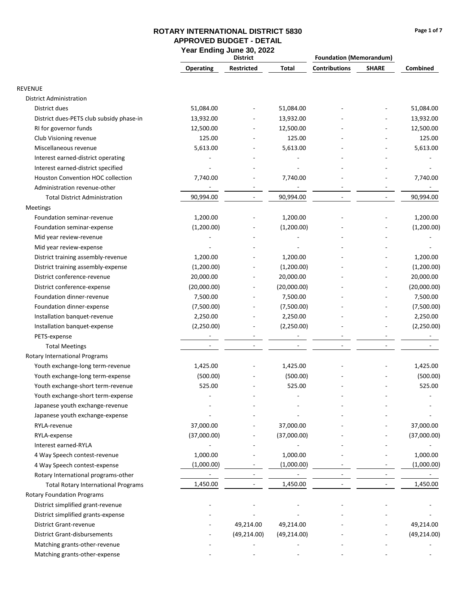|                                            | var Litaniy variv<br>JU, LULL<br><b>District</b> |                          |              | <b>Foundation (Memorandum)</b> |                          |              |
|--------------------------------------------|--------------------------------------------------|--------------------------|--------------|--------------------------------|--------------------------|--------------|
|                                            | <b>Operating</b>                                 | Restricted               | Total        | <b>Contributions</b>           | <b>SHARE</b>             | Combined     |
| <b>REVENUE</b>                             |                                                  |                          |              |                                |                          |              |
| <b>District Administration</b>             |                                                  |                          |              |                                |                          |              |
| District dues                              | 51,084.00                                        |                          | 51,084.00    |                                |                          | 51,084.00    |
| District dues-PETS club subsidy phase-in   | 13,932.00                                        |                          | 13,932.00    |                                |                          | 13,932.00    |
| RI for governor funds                      | 12,500.00                                        |                          | 12,500.00    |                                |                          | 12,500.00    |
| Club Visioning revenue                     | 125.00                                           |                          | 125.00       |                                |                          | 125.00       |
| Miscellaneous revenue                      | 5,613.00                                         |                          | 5,613.00     |                                |                          | 5,613.00     |
| Interest earned-district operating         |                                                  |                          |              |                                |                          |              |
| Interest earned-district specified         |                                                  |                          |              |                                |                          |              |
| Houston Convention HOC collection          | 7,740.00                                         |                          | 7,740.00     |                                |                          | 7,740.00     |
| Administration revenue-other               | $\overline{\phantom{a}}$                         |                          |              |                                |                          |              |
| <b>Total District Administration</b>       | 90,994.00                                        | $\blacksquare$           | 90,994.00    |                                | $\overline{\phantom{a}}$ | 90,994.00    |
| Meetings                                   |                                                  |                          |              |                                |                          |              |
| Foundation seminar-revenue                 | 1,200.00                                         |                          | 1,200.00     |                                |                          | 1,200.00     |
| Foundation seminar-expense                 | (1,200.00)                                       |                          | (1,200.00)   |                                |                          | (1,200.00)   |
| Mid year review-revenue                    |                                                  |                          |              |                                |                          |              |
| Mid year review-expense                    |                                                  |                          |              |                                |                          |              |
| District training assembly-revenue         | 1,200.00                                         |                          | 1,200.00     |                                |                          | 1,200.00     |
| District training assembly-expense         | (1,200.00)                                       |                          | (1,200.00)   |                                |                          | (1,200.00)   |
| District conference-revenue                | 20,000.00                                        |                          | 20,000.00    |                                |                          | 20,000.00    |
| District conference-expense                | (20,000.00)                                      |                          | (20,000.00)  |                                |                          | (20,000.00)  |
| Foundation dinner-revenue                  | 7,500.00                                         |                          | 7,500.00     |                                |                          | 7,500.00     |
| Foundation dinner-expense                  | (7,500.00)                                       |                          | (7,500.00)   |                                |                          | (7,500.00)   |
| Installation banquet-revenue               | 2,250.00                                         |                          | 2,250.00     |                                |                          | 2,250.00     |
| Installation banquet-expense               | (2,250.00)                                       |                          | (2,250.00)   |                                |                          | (2,250.00)   |
| PETS-expense                               |                                                  |                          |              |                                |                          |              |
| <b>Total Meetings</b>                      |                                                  | ۰                        |              |                                |                          |              |
| Rotary International Programs              |                                                  |                          |              |                                |                          |              |
| Youth exchange-long term-revenue           | 1,425.00                                         |                          | 1,425.00     |                                |                          | 1,425.00     |
| Youth exchange-long term-expense           | (500.00)                                         |                          | (500.00)     |                                |                          | (500.00)     |
| Youth exchange-short term-revenue          | 525.00                                           |                          | 525.00       |                                |                          | 525.00       |
| Youth exchange-short term-expense          |                                                  |                          |              |                                |                          |              |
| Japanese youth exchange-revenue            |                                                  |                          |              |                                |                          |              |
| Japanese youth exchange-expense            |                                                  |                          |              |                                |                          |              |
| RYLA-revenue                               | 37,000.00                                        |                          | 37,000.00    |                                |                          | 37,000.00    |
| RYLA-expense                               | (37,000.00)                                      |                          | (37,000.00)  |                                |                          | (37,000.00)  |
| Interest earned-RYLA                       |                                                  |                          |              |                                |                          |              |
| 4 Way Speech contest-revenue               | 1,000.00                                         |                          | 1,000.00     |                                |                          | 1,000.00     |
| 4 Way Speech contest-expense               | (1,000.00)                                       |                          | (1,000.00)   |                                |                          | (1,000.00)   |
| Rotary International programs-other        |                                                  |                          |              |                                |                          |              |
| <b>Total Rotary International Programs</b> | 1,450.00                                         | $\overline{\phantom{a}}$ | 1,450.00     |                                |                          | 1,450.00     |
| <b>Rotary Foundation Programs</b>          |                                                  |                          |              |                                |                          |              |
| District simplified grant-revenue          |                                                  |                          |              |                                |                          |              |
| District simplified grants-expense         |                                                  |                          |              |                                |                          |              |
| <b>District Grant-revenue</b>              |                                                  | 49,214.00                | 49,214.00    |                                |                          | 49,214.00    |
| <b>District Grant-disbursements</b>        |                                                  | (49, 214.00)             | (49, 214.00) |                                |                          | (49, 214.00) |
| Matching grants-other-revenue              |                                                  |                          |              |                                |                          |              |
| Matching grants-other-expense              |                                                  |                          |              |                                |                          |              |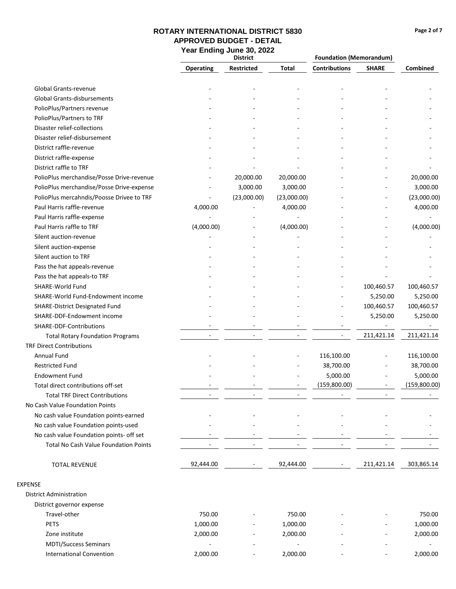### **Page 2 of 7**

### **ROTARY INTERNATIONAL DISTRICT 5830 APPROVED BUDGET - DETAIL Year Ending June 30, 2022**

|                                                 | <b>District</b>          |                          |              | <b>Foundation (Memorandum)</b> |              |              |
|-------------------------------------------------|--------------------------|--------------------------|--------------|--------------------------------|--------------|--------------|
|                                                 | <b>Operating</b>         | Restricted               | <b>Total</b> | <b>Contributions</b>           | <b>SHARE</b> | Combined     |
| Global Grants-revenue                           |                          |                          |              |                                |              |              |
| <b>Global Grants-disbursements</b>              |                          |                          |              |                                |              |              |
| PolioPlus/Partners revenue                      |                          |                          |              |                                |              |              |
| PolioPlus/Partners to TRF                       |                          |                          |              |                                |              |              |
| Disaster relief-collections                     |                          |                          |              |                                |              |              |
| Disaster relief-disbursement                    |                          |                          |              |                                |              |              |
| District raffle-revenue                         |                          |                          |              |                                |              |              |
| District raffle-expense                         |                          |                          |              |                                |              |              |
| District raffle to TRF                          |                          |                          |              |                                |              |              |
| PolioPlus merchandise/Posse Drive-revenue       |                          | 20,000.00                | 20,000.00    |                                |              | 20,000.00    |
| PolioPlus merchandise/Posse Drive-expense       |                          | 3,000.00                 | 3,000.00     |                                |              | 3,000.00     |
| PolioPlus mercahndis/Poosse Drivee to TRF       |                          | (23,000.00)              | (23,000.00)  |                                |              | (23,000.00)  |
| Paul Harris raffle-revenue                      | 4,000.00                 |                          | 4,000.00     |                                |              | 4,000.00     |
| Paul Harris raffle-expense                      |                          |                          |              |                                |              |              |
| Paul Harris raffle to TRF                       | (4,000.00)               |                          | (4,000.00)   |                                |              | (4,000.00)   |
| Silent auction-revenue                          |                          |                          |              |                                |              |              |
|                                                 |                          |                          |              |                                |              |              |
| Silent auction-expense<br>Silent auction to TRF |                          |                          |              |                                |              |              |
|                                                 |                          |                          |              |                                |              |              |
| Pass the hat appeals-revenue                    |                          |                          |              |                                |              |              |
| Pass the hat appeals-to TRF                     |                          |                          |              |                                |              |              |
| SHARE-World Fund                                |                          |                          |              |                                | 100,460.57   | 100,460.57   |
| SHARE-World Fund-Endowment income               |                          |                          |              |                                | 5,250.00     | 5,250.00     |
| <b>SHARE-District Designated Fund</b>           |                          |                          |              |                                | 100,460.57   | 100,460.57   |
| SHARE-DDF-Endowment income                      |                          |                          |              |                                | 5,250.00     | 5,250.00     |
| SHARE-DDF-Contributions                         |                          |                          |              |                                |              |              |
| <b>Total Rotary Foundation Programs</b>         | $\overline{\phantom{a}}$ |                          |              | ÷                              | 211,421.14   | 211,421.14   |
| <b>TRF Direct Contributions</b>                 |                          |                          |              |                                |              |              |
| <b>Annual Fund</b>                              |                          |                          |              | 116,100.00                     |              | 116,100.00   |
| <b>Restricted Fund</b>                          |                          |                          |              | 38,700.00                      |              | 38,700.00    |
| <b>Endowment Fund</b>                           |                          |                          |              | 5,000.00                       |              | 5,000.00     |
| Total direct contributions off-set              |                          |                          |              | (159,800.00)                   |              | (159,800.00) |
| <b>Total TRF Direct Contributions</b>           |                          |                          |              |                                |              |              |
| No Cash Value Foundation Points                 |                          |                          |              |                                |              |              |
| No cash value Foundation points-earned          |                          |                          |              |                                |              |              |
| No cash value Foundation points-used            |                          |                          |              |                                |              |              |
| No cash value Foundation points- off set        |                          |                          |              |                                |              |              |
| <b>Total No Cash Value Foundation Points</b>    |                          | $\overline{\phantom{a}}$ |              |                                |              |              |
| <b>TOTAL REVENUE</b>                            | 92,444.00                |                          | 92,444.00    |                                | 211,421.14   | 303,865.14   |
| <b>EXPENSE</b>                                  |                          |                          |              |                                |              |              |
| <b>District Administration</b>                  |                          |                          |              |                                |              |              |
| District governor expense                       |                          |                          |              |                                |              |              |
| Travel-other                                    | 750.00                   |                          | 750.00       |                                |              | 750.00       |
| PETS                                            | 1,000.00                 |                          | 1,000.00     |                                |              | 1,000.00     |
| Zone institute                                  | 2,000.00                 |                          | 2,000.00     |                                |              | 2,000.00     |
| <b>MDTI/Success Seminars</b>                    |                          |                          |              |                                |              |              |

 - - - - - - 2,000.00 - 2,000.00 - - 2,000.00

International Convention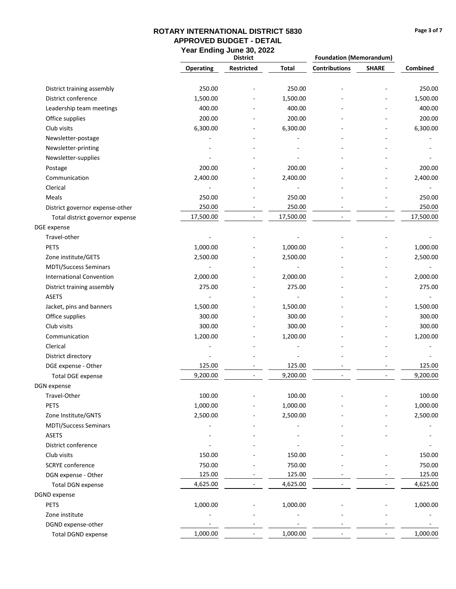### **Page 3 of 7**

|                                 |                          | <b>District</b>          |              | <b>Foundation (Memorandum)</b> |                          |           |
|---------------------------------|--------------------------|--------------------------|--------------|--------------------------------|--------------------------|-----------|
|                                 | <b>Operating</b>         | <b>Restricted</b>        | <b>Total</b> | <b>Contributions</b>           | <b>SHARE</b>             | Combined  |
| District training assembly      | 250.00                   |                          | 250.00       |                                |                          | 250.00    |
| District conference             | 1,500.00                 |                          | 1,500.00     |                                |                          | 1,500.00  |
| Leadership team meetings        | 400.00                   | ٠                        | 400.00       |                                |                          | 400.00    |
| Office supplies                 | 200.00                   |                          | 200.00       |                                |                          | 200.00    |
| Club visits                     | 6,300.00                 |                          | 6,300.00     |                                |                          | 6,300.00  |
| Newsletter-postage              | $\overline{\phantom{a}}$ |                          |              |                                |                          |           |
| Newsletter-printing             |                          |                          |              |                                |                          |           |
| Newsletter-supplies             |                          |                          |              |                                |                          |           |
| Postage                         | 200.00                   |                          | 200.00       |                                |                          | 200.00    |
| Communication                   | 2,400.00                 |                          | 2,400.00     |                                |                          | 2,400.00  |
| Clerical                        |                          |                          |              |                                |                          |           |
| Meals                           | 250.00                   |                          | 250.00       |                                |                          | 250.00    |
| District governor expense-other | 250.00                   | $\blacksquare$           | 250.00       |                                | $\overline{a}$           | 250.00    |
| Total district governor expense | 17,500.00                | $\overline{\phantom{a}}$ | 17,500.00    | $\sim$                         | $\overline{\phantom{a}}$ | 17,500.00 |
| DGE expense                     |                          |                          |              |                                |                          |           |
| Travel-other                    |                          |                          |              |                                |                          |           |
| <b>PETS</b>                     | 1,000.00                 |                          | 1,000.00     |                                |                          | 1,000.00  |
| Zone institute/GETS             | 2,500.00                 |                          | 2,500.00     |                                |                          | 2,500.00  |
| <b>MDTI/Success Seminars</b>    |                          |                          |              |                                |                          |           |
| <b>International Convention</b> | 2,000.00                 |                          | 2,000.00     |                                |                          | 2,000.00  |
| District training assembly      | 275.00                   |                          | 275.00       |                                |                          | 275.00    |
| <b>ASETS</b>                    |                          |                          |              |                                |                          |           |
| Jacket, pins and banners        | 1,500.00                 |                          | 1,500.00     |                                |                          | 1,500.00  |
| Office supplies                 | 300.00                   |                          | 300.00       |                                |                          | 300.00    |
| Club visits                     | 300.00                   |                          | 300.00       |                                |                          | 300.00    |
| Communication                   | 1,200.00                 |                          | 1,200.00     |                                |                          | 1,200.00  |
| Clerical                        |                          |                          |              |                                |                          |           |
| District directory              |                          |                          |              |                                |                          |           |
| DGE expense - Other             | 125.00                   |                          | 125.00       |                                |                          | 125.00    |
| <b>Total DGE expense</b>        | 9,200.00                 |                          | 9,200.00     |                                |                          | 9,200.00  |
| DGN expense                     |                          |                          |              |                                |                          |           |
| Travel-Other                    | 100.00                   |                          | 100.00       |                                |                          | 100.00    |
| <b>PETS</b>                     | 1,000.00                 |                          | 1,000.00     |                                |                          | 1,000.00  |
| Zone Institute/GNTS             | 2,500.00                 |                          | 2,500.00     |                                |                          | 2,500.00  |
| <b>MDTI/Success Seminars</b>    |                          |                          |              |                                |                          |           |
| <b>ASETS</b>                    |                          |                          |              |                                |                          |           |
| District conference             |                          |                          |              |                                |                          |           |
| Club visits                     | 150.00                   |                          | 150.00       |                                |                          | 150.00    |
| <b>SCRYE</b> conference         | 750.00                   |                          | 750.00       |                                |                          | 750.00    |
| DGN expense - Other             | 125.00                   |                          | 125.00       |                                |                          | 125.00    |
| <b>Total DGN expense</b>        | 4,625.00                 | ÷,                       | 4,625.00     |                                |                          | 4,625.00  |
| <b>DGND</b> expense             |                          |                          |              |                                |                          |           |
| PETS                            | 1,000.00                 |                          | 1,000.00     |                                |                          | 1,000.00  |
| Zone institute                  |                          |                          |              |                                |                          |           |
| DGND expense-other              |                          |                          |              |                                |                          |           |
| <b>Total DGND expense</b>       | 1,000.00                 | $\overline{\phantom{a}}$ | 1,000.00     |                                |                          | 1,000.00  |
|                                 |                          |                          |              |                                |                          |           |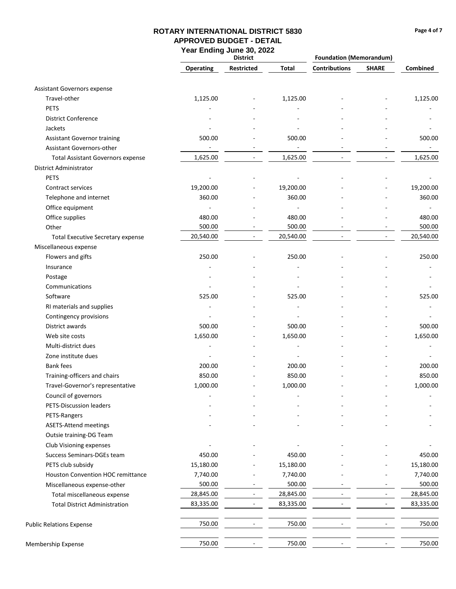### **Page 4 of 7**

|                                          | aan maanig aano oo,<br><b>District</b> |                          |                          | <b>Foundation (Memorandum)</b> |                          |                          |
|------------------------------------------|----------------------------------------|--------------------------|--------------------------|--------------------------------|--------------------------|--------------------------|
|                                          | <b>Operating</b>                       | <b>Restricted</b>        | Total                    | <b>Contributions</b>           | <b>SHARE</b>             | Combined                 |
| Assistant Governors expense              |                                        |                          |                          |                                |                          |                          |
| Travel-other                             | 1,125.00                               |                          | 1,125.00                 |                                |                          | 1,125.00                 |
| <b>PETS</b>                              |                                        |                          |                          |                                |                          |                          |
| <b>District Conference</b>               |                                        |                          |                          |                                |                          |                          |
| Jackets                                  |                                        |                          |                          |                                |                          |                          |
| <b>Assistant Governor training</b>       | 500.00                                 |                          | 500.00                   |                                |                          | 500.00                   |
| Assistant Governors-other                | $\sim$                                 | $\overline{\phantom{a}}$ | $\blacksquare$           |                                |                          | $\sim$                   |
| <b>Total Assistant Governors expense</b> | 1,625.00                               |                          | 1,625.00                 |                                |                          | 1,625.00                 |
| District Administrator                   |                                        |                          |                          |                                |                          |                          |
| <b>PETS</b>                              |                                        |                          |                          |                                |                          |                          |
| Contract services                        | 19,200.00                              |                          | 19,200.00                |                                |                          | 19,200.00                |
| Telephone and internet                   | 360.00                                 |                          | 360.00                   |                                |                          | 360.00                   |
| Office equipment                         | $\sim$                                 |                          | $\sim$                   |                                |                          |                          |
| Office supplies                          | 480.00                                 |                          | 480.00                   |                                |                          | 480.00                   |
| Other                                    | 500.00                                 |                          | 500.00                   |                                |                          | 500.00                   |
| <b>Total Executive Secretary expense</b> | 20,540.00                              | $\overline{\phantom{a}}$ | 20,540.00                |                                |                          | 20,540.00                |
| Miscellaneous expense                    |                                        |                          |                          |                                |                          |                          |
| Flowers and gifts                        | 250.00                                 |                          | 250.00                   |                                |                          | 250.00                   |
| Insurance                                |                                        |                          |                          |                                |                          |                          |
| Postage                                  |                                        |                          |                          |                                |                          |                          |
| Communications                           |                                        |                          |                          |                                |                          |                          |
| Software                                 | 525.00                                 |                          | 525.00                   |                                |                          | 525.00                   |
| RI materials and supplies                |                                        |                          |                          |                                |                          |                          |
| Contingency provisions                   |                                        |                          |                          |                                |                          |                          |
| District awards                          | 500.00                                 |                          | 500.00                   |                                |                          | 500.00                   |
| Web site costs                           | 1,650.00                               |                          | 1,650.00                 |                                |                          | 1,650.00                 |
| Multi-district dues                      | ٠                                      |                          | $\overline{\phantom{a}}$ |                                |                          | $\overline{\phantom{a}}$ |
| Zone institute dues                      |                                        |                          |                          |                                |                          |                          |
| <b>Bank fees</b>                         | 200.00                                 |                          | 200.00                   |                                |                          | 200.00                   |
| Training-officers and chairs             | 850.00                                 |                          | 850.00                   |                                |                          | 850.00                   |
| Travel-Governor's representative         | 1,000.00                               |                          | 1,000.00                 |                                |                          | 1,000.00                 |
| Council of governors                     |                                        |                          |                          |                                |                          |                          |
| PETS-Discussion leaders                  |                                        |                          |                          |                                |                          |                          |
| PETS-Rangers                             |                                        |                          |                          |                                |                          |                          |
| <b>ASETS-Attend meetings</b>             |                                        |                          |                          |                                |                          |                          |
| Outsie training-DG Team                  |                                        |                          |                          |                                |                          |                          |
| Club Visioning expenses                  |                                        |                          |                          |                                |                          |                          |
| Success Seminars-DGEs team               | 450.00                                 |                          | 450.00                   |                                |                          | 450.00                   |
| PETS club subsidy                        | 15,180.00                              |                          | 15,180.00                |                                |                          | 15,180.00                |
| Houston Convention HOC remittance        | 7,740.00                               |                          | 7,740.00                 |                                |                          | 7,740.00                 |
| Miscellaneous expense-other              | 500.00                                 |                          | 500.00                   |                                |                          | 500.00                   |
| Total miscellaneous expense              | 28,845.00                              | $\overline{\phantom{a}}$ | 28,845.00                |                                | $\overline{\phantom{a}}$ | 28,845.00                |
| <b>Total District Administration</b>     | 83,335.00                              |                          | 83,335.00                |                                |                          | 83,335.00                |
| <b>Public Relations Expense</b>          | 750.00                                 |                          | 750.00                   |                                |                          | 750.00                   |
| Membership Expense                       | 750.00                                 |                          | 750.00                   |                                |                          | 750.00                   |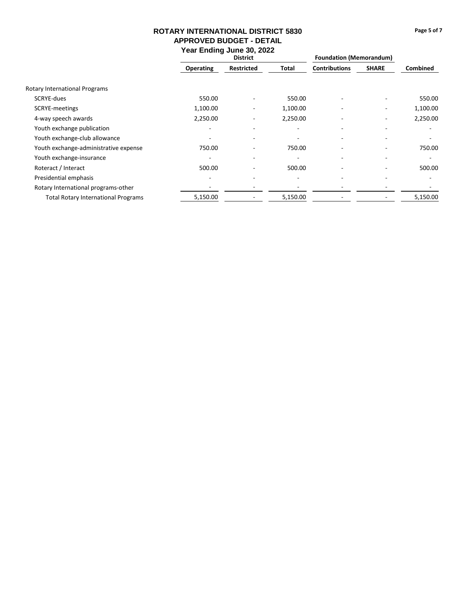|                                            | <b>District</b>          |                          |          | <b>Foundation (Memorandum)</b> |                          |                 |
|--------------------------------------------|--------------------------|--------------------------|----------|--------------------------------|--------------------------|-----------------|
|                                            | <b>Operating</b>         | <b>Restricted</b>        | Total    | <b>Contributions</b>           | <b>SHARE</b>             | <b>Combined</b> |
| Rotary International Programs              |                          |                          |          |                                |                          |                 |
| SCRYE-dues                                 | 550.00                   |                          | 550.00   |                                | ٠                        | 550.00          |
| SCRYE-meetings                             | 1,100.00                 |                          | 1,100.00 |                                | $\overline{\phantom{a}}$ | 1,100.00        |
| 4-way speech awards                        | 2,250.00                 |                          | 2,250.00 | ۰                              | ۰.                       | 2,250.00        |
| Youth exchange publication                 |                          |                          | ۰        | ۰                              | $\overline{\phantom{0}}$ |                 |
| Youth exchange-club allowance              |                          | $\overline{\phantom{a}}$ | ۰        | ۰                              | ۰                        |                 |
| Youth exchange-administrative expense      | 750.00                   |                          | 750.00   | ۰                              | ۰.                       | 750.00          |
| Youth exchange-insurance                   |                          | $\overline{\phantom{0}}$ | ٠        | ٠                              | $\overline{\phantom{a}}$ |                 |
| Roteract / Interact                        | 500.00                   |                          | 500.00   | ٠                              | ۰                        | 500.00          |
| Presidential emphasis                      | $\overline{\phantom{0}}$ |                          | ۰        | ٠                              | $\overline{\phantom{a}}$ |                 |
| Rotary International programs-other        |                          |                          |          |                                |                          |                 |
| <b>Total Rotary International Programs</b> | 5,150.00                 |                          | 5,150.00 |                                |                          | 5,150.00        |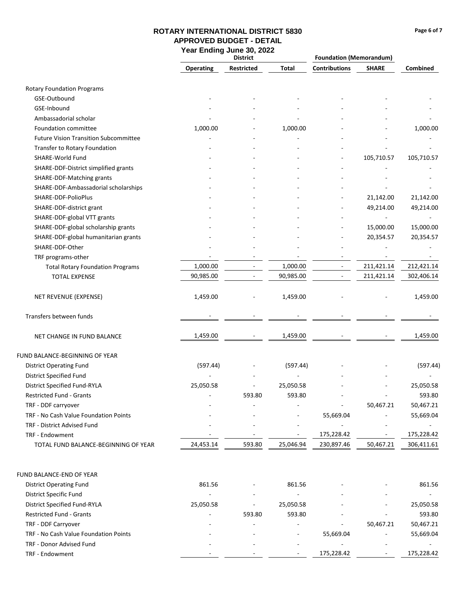### **Page 6 of 7**

# **ROTARY INTERNATIONAL DISTRICT 5830 APPROVED BUDGET - DETAIL**

**Year Ending June 30, 2022**

|                                              | <b>District</b>  |                          |                          | <b>Foundation (Memorandum)</b> |                          |            |
|----------------------------------------------|------------------|--------------------------|--------------------------|--------------------------------|--------------------------|------------|
|                                              | <b>Operating</b> | Restricted               | Total                    | <b>Contributions</b>           | <b>SHARE</b>             | Combined   |
| <b>Rotary Foundation Programs</b>            |                  |                          |                          |                                |                          |            |
| GSE-Outbound                                 |                  |                          |                          |                                |                          |            |
| GSE-Inbound                                  |                  |                          |                          |                                |                          |            |
| Ambassadorial scholar                        |                  |                          |                          |                                |                          |            |
| Foundation committee                         | 1,000.00         |                          | 1,000.00                 |                                |                          | 1,000.00   |
| <b>Future Vision Transition Subcommittee</b> |                  |                          |                          |                                |                          |            |
| Transfer to Rotary Foundation                |                  |                          |                          |                                |                          |            |
| SHARE-World Fund                             |                  |                          |                          | ٠                              |                          |            |
|                                              |                  |                          |                          |                                | 105,710.57               | 105,710.57 |
| SHARE-DDF-District simplified grants         |                  |                          |                          |                                |                          |            |
| SHARE-DDF-Matching grants                    |                  |                          |                          |                                |                          |            |
| SHARE-DDF-Ambassadorial scholarships         |                  |                          |                          |                                |                          |            |
| SHARE-DDF-PolioPlus                          |                  |                          |                          | ٠                              | 21,142.00                | 21,142.00  |
| SHARE-DDF-district grant                     |                  |                          |                          | ÷                              | 49,214.00                | 49,214.00  |
| SHARE-DDF-global VTT grants                  |                  |                          |                          |                                |                          |            |
| SHARE-DDF-global scholarship grants          |                  |                          |                          |                                | 15,000.00                | 15,000.00  |
| SHARE-DDF-global humanitarian grants         |                  |                          |                          |                                | 20,354.57                | 20,354.57  |
| SHARE-DDF-Other                              |                  |                          |                          |                                |                          |            |
| TRF programs-other                           |                  |                          |                          |                                |                          |            |
| <b>Total Rotary Foundation Programs</b>      | 1,000.00         |                          | 1,000.00                 | $\overline{\phantom{a}}$       | 211,421.14               | 212,421.14 |
| <b>TOTAL EXPENSE</b>                         | 90,985.00        | $\overline{\phantom{a}}$ | 90,985.00                | $\qquad \qquad \blacksquare$   | 211,421.14               | 302,406.14 |
| NET REVENUE (EXPENSE)                        | 1,459.00         |                          | 1,459.00                 |                                |                          | 1,459.00   |
| Transfers between funds                      |                  |                          |                          |                                |                          |            |
| NET CHANGE IN FUND BALANCE                   | 1,459.00         |                          | 1,459.00                 |                                |                          | 1,459.00   |
| FUND BALANCE-BEGINNING OF YEAR               |                  |                          |                          |                                |                          |            |
| <b>District Operating Fund</b>               | (597.44)         |                          | (597.44)                 |                                |                          | (597.44)   |
| <b>District Specified Fund</b>               |                  |                          |                          |                                |                          |            |
| District Specified Fund-RYLA                 | 25,050.58        |                          | 25,050.58                |                                |                          | 25,050.58  |
| <b>Restricted Fund - Grants</b>              |                  | 593.80                   | 593.80                   |                                | $\overline{\phantom{a}}$ | 593.80     |
| TRF - DDF carryover                          |                  |                          |                          | ÷                              | 50,467.21                | 50,467.21  |
| TRF - No Cash Value Foundation Points        |                  |                          |                          | 55,669.04                      |                          | 55,669.04  |
| TRF - District Advised Fund                  |                  |                          |                          | ÷                              |                          |            |
| TRF - Endowment                              |                  |                          | $\blacksquare$           | 175,228.42                     | $\sim$                   | 175,228.42 |
| TOTAL FUND BALANCE-BEGINNING OF YEAR         | 24,453.14        | 593.80                   | 25,046.94                | 230,897.46                     | 50,467.21                | 306,411.61 |
|                                              |                  |                          |                          |                                |                          |            |
| FUND BALANCE-END OF YEAR                     |                  |                          |                          |                                |                          |            |
| <b>District Operating Fund</b>               | 861.56           |                          | 861.56                   |                                |                          | 861.56     |
| District Specific Fund                       |                  |                          | $\blacksquare$           |                                |                          | $\sim$     |
| District Specified Fund-RYLA                 | 25,050.58        | $\overline{\phantom{a}}$ | 25,050.58                |                                |                          | 25,050.58  |
| Restricted Fund - Grants                     |                  | 593.80                   | 593.80                   |                                |                          | 593.80     |
| TRF - DDF Carryover                          |                  |                          |                          | $\blacksquare$                 | 50,467.21                | 50,467.21  |
| TRF - No Cash Value Foundation Points        |                  |                          | $\overline{\phantom{a}}$ | 55,669.04                      | $\overline{\phantom{a}}$ | 55,669.04  |
| TRF - Donor Advised Fund                     |                  |                          |                          |                                |                          |            |

- - - 175,228.42 - 175,228.42

TRF - Endowment